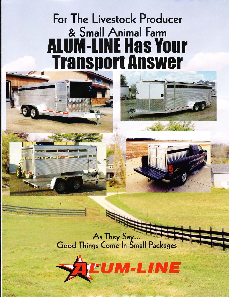# For The Livestock Producer & Small Animal Farm **ALUM-LINE Has Your Transport Answer**



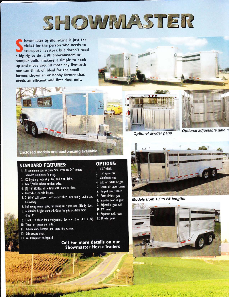

howmaster by Alum-Line is just the ticket for the person who needs to transport livestock but doesn't need a big rig to do it. All Showmasters are bumper pulls making it simple to hook up and move around most any livestock one can think of. Ideal for the small farmer, showman or hobby farmer that needs an efficient and first class unit.







Optional divider pens

Optional adjustable gate ra



#### **STANDARD FEATURES:**

- 1. All aluminum construction. Side posts on 24" centers Extruded aluminum flooring.
- 2. ICC lightning with stop, tail, and turn lights.
- 3. Two 3,500lb rubber torsion axles.
- 4. (4) 15" ST205/75R15 tires with modular rims.
- 5. Four-wheel electric brakes.
- 6. 2 5/16" ball coupler with caster wheel jack, safety chains and breakaway.
- 7. Full swing center gate, full swing rear gate and slide-by door.
- 8. 6' interior height standard. Other heights available from  $4'$  to  $7'.$
- 9. Front 2'V shape for aerodynamics. (ex 6 x 16 is 14'+ a 2V).

**BACKING** 

- 10. Three air spaces per side.
- 11. Rubber dock bumper and spare tire carrier.
- 12. Side escape door.
- 13. 24' treadplate Rockguard.

#### **OPTIONS:**

- 1. 6'8" width.
- 2. 15" spare tire
- 3. Aluminum rims
- 4. Add or delete height Lexan air space covers
- $5.$
- 6. Hinged cover panels
- 7. Extra divider gate
- 8. Slide-by door in gate
- 9. Adjustable gate rail
- 10 4'V front
- II. Separate tack room
- 12. Divider pens
	-







Models from 10' to 24' lengths

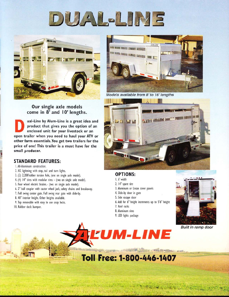



#### Our single axle models come in 8' and 10' lengths.

ual-Line by Alum-Line is a great idea and product that gives you the option of an enclosed unit for your livestock or an open trailer when you need to haul your ATV or other farm essentials. You get two trailers for the price of one! This trailer is a must have for the small producer.

#### **STANDARD FEATURES:**

I. All-Aluminum construction.

- 2. ICC lightning with stop, tail and turn lights.
- 3. (2) 2,200'rubber torsion Axle, (one on single axle model).
- 4. (4) 14" tires with modular rims (two on single axle model).
- 5. Four wheel electric brakes.- (two on single axle model).
- 6. 2" ball coupler with castor wheel jack, safety chains and breakaway.
- 7. Full swing center gate. Full swing rear gate with slide-by.
- 8. 48" interior height. Other heights available.
- 9. Top removable with easy to use snap locks.
- 10. Rubber dock bumper.



Models available from 8' to 16' lengths



#### **OPTIONS:**

- 1.6' width
- 2. 14" spare tire
- 3. Aluminum or Lexan cover panels

instruction of the product of the product and to product

- 4. Slide-by door in gate
- 5. Side escape door
- 6. Add for 6" height increments up to 5'6" height
- 7. Roof racks
- 8. Aluminum rims
- 9. LED lights package



**Built in ramp door** 



**ATHOL** A HALLA